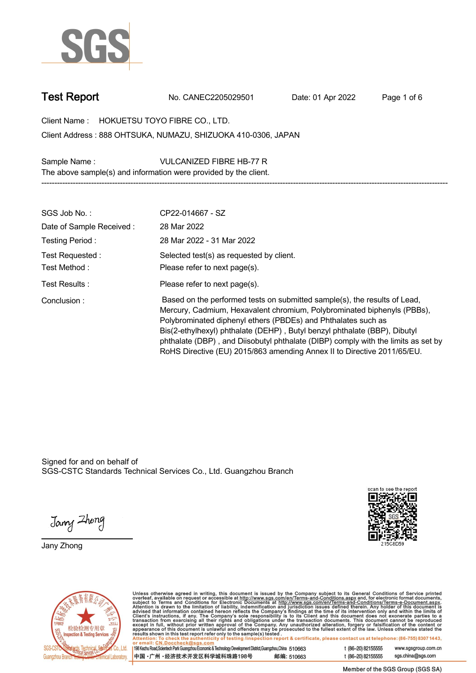

**Test Report. No. CANEC2205029501 . Date: 01 Apr 2022. Page 1 of 6.**

**Client Name : HOKUETSU TOYO FIBRE CO., LTD. .**

**888 OHTSUKA, NUMAZU, SHIZUOKA 410-0306, JAPAN . Client Address :**

**Sample Name : VULCANIZED FIBRE HB-77 R . The above sample(s) and information were provided by the client.**

| SGS Job No.:                      | CP22-014667 - SZ                                                                                                                                                                                                                                                                                                                                                                                                                                                   |
|-----------------------------------|--------------------------------------------------------------------------------------------------------------------------------------------------------------------------------------------------------------------------------------------------------------------------------------------------------------------------------------------------------------------------------------------------------------------------------------------------------------------|
| Date of Sample Received:          | 28 Mar 2022                                                                                                                                                                                                                                                                                                                                                                                                                                                        |
| Testing Period:                   | 28 Mar 2022 - 31 Mar 2022                                                                                                                                                                                                                                                                                                                                                                                                                                          |
| Test Requested :<br>Test Method : | Selected test(s) as requested by client.<br>Please refer to next page(s).                                                                                                                                                                                                                                                                                                                                                                                          |
| Test Results :                    | Please refer to next page(s).                                                                                                                                                                                                                                                                                                                                                                                                                                      |
| Conclusion:                       | Based on the performed tests on submitted sample(s), the results of Lead,<br>Mercury, Cadmium, Hexavalent chromium, Polybrominated biphenyls (PBBs),<br>Polybrominated diphenyl ethers (PBDEs) and Phthalates such as<br>Bis(2-ethylhexyl) phthalate (DEHP), Butyl benzyl phthalate (BBP), Dibutyl<br>phthalate (DBP), and Diisobutyl phthalate (DIBP) comply with the limits as set by<br>RoHS Directive (EU) 2015/863 amending Annex II to Directive 2011/65/EU. |

**-----------------------------------------------------------------------------------------------------------------------------------------------------------**

Signed for and on behalf of SGS-CSTC Standards Technical Services Co., Ltd. Guangzhou Branch.

Jany Zhong

**Jany Zhong.**





Unless otherwise agreed in writing, this document is issued by the Company subject to its General Conditions of Service printed<br>overleaf, available on request or accessible at http://www.sgs.com/en/Terms-and-Conditions.as t (86-20) 82155555

| 198 Kezhu Road,Scientech Park Guangzhou Economic & Technology Development District,Guangzhou,China 510663 |            |
|-----------------------------------------------------------------------------------------------------------|------------|
| 中国 •广州 •经济技术开发区科学城科珠路198号 ;                                                                               | 邮编: 510663 |

t (86-20) 82155555 sgs.china@sgs.com

www.sgsgroup.com.cn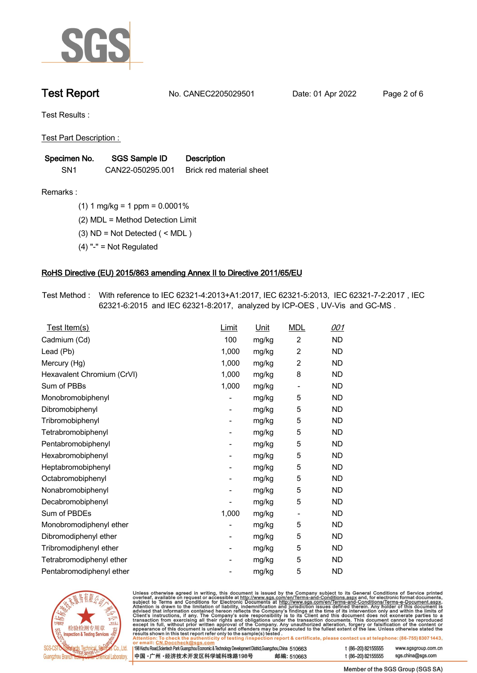

**Test Report. No. CANEC2205029501 . Date: 01 Apr 2022. Page 2 of 6.**

**Test Results :.**

**Test Part Description : .**

| Specimen No.    | SGS Sample ID    | <b>Description</b>       |
|-----------------|------------------|--------------------------|
| SN <sub>1</sub> | CAN22-050295.001 | Brick red material sheet |

**Remarks :.(1) 1 mg/kg = 1 ppm = 0.0001% .**

**(2) MDL = Method Detection Limit .**

**(3) ND = Not Detected ( < MDL ) .**

**(4) "-" = Not Regulated .**

## **RoHS Directive (EU) 2015/863 amending Annex II to Directive 2011/65/EU.**

**Test Method :. With reference to IEC 62321-4:2013+A1:2017, IEC 62321-5:2013, IEC 62321-7-2:2017 , IEC 62321-6:2015 and IEC 62321-8:2017, analyzed by ICP-OES , UV-Vis and GC-MS . .**

| Test Item(s)               | Limit | <u>Unit</u> | <b>MDL</b>                   | <u>001</u> |
|----------------------------|-------|-------------|------------------------------|------------|
| Cadmium (Cd)               | 100   | mg/kg       | $\overline{c}$               | <b>ND</b>  |
| Lead (Pb)                  | 1,000 | mg/kg       | $\overline{2}$               | <b>ND</b>  |
| Mercury (Hg)               | 1,000 | mg/kg       | $\overline{2}$               | <b>ND</b>  |
| Hexavalent Chromium (CrVI) | 1,000 | mg/kg       | 8                            | <b>ND</b>  |
| Sum of PBBs                | 1,000 | mg/kg       | $\qquad \qquad \blacksquare$ | <b>ND</b>  |
| Monobromobiphenyl          |       | mg/kg       | 5                            | <b>ND</b>  |
| Dibromobiphenyl            | -     | mg/kg       | 5                            | <b>ND</b>  |
| Tribromobiphenyl           | -     | mg/kg       | 5                            | <b>ND</b>  |
| Tetrabromobiphenyl         |       | mg/kg       | 5                            | <b>ND</b>  |
| Pentabromobiphenyl         | -     | mg/kg       | 5                            | <b>ND</b>  |
| Hexabromobiphenyl          |       | mg/kg       | 5                            | <b>ND</b>  |
| Heptabromobiphenyl         |       | mg/kg       | 5                            | <b>ND</b>  |
| Octabromobiphenyl          | -     | mg/kg       | 5                            | <b>ND</b>  |
| Nonabromobiphenyl          |       | mg/kg       | 5                            | <b>ND</b>  |
| Decabromobiphenyl          |       | mg/kg       | 5                            | <b>ND</b>  |
| Sum of PBDEs               | 1,000 | mg/kg       | $\overline{\phantom{a}}$     | <b>ND</b>  |
| Monobromodiphenyl ether    |       | mg/kg       | 5                            | <b>ND</b>  |
| Dibromodiphenyl ether      |       | mg/kg       | 5                            | <b>ND</b>  |
| Tribromodiphenyl ether     | -     | mg/kg       | 5                            | <b>ND</b>  |
| Tetrabromodiphenyl ether   |       | mg/kg       | 5                            | <b>ND</b>  |
| Pentabromodiphenyl ether   |       | mg/kg       | 5                            | <b>ND</b>  |



Unless otherwise agreed in writing, this document is issued by the Company subject to its General Conditions of Service printed overleaf, available on request or accessible at http://www.sgs.com/en/Terms-and-Conditions.as

| or email: CN.Doccheck@sgs.com                                                                                |            |                    |                     |
|--------------------------------------------------------------------------------------------------------------|------------|--------------------|---------------------|
| 198 Kezhu Road, Scientech Park Guangzhou Economic & Technology Development District, Guangzhou, China 510663 |            | t (86-20) 82155555 | www.sgsgroup.com.cr |
| ┃中国 •广州 •经济技术开发区科学城科珠路198号 ↓                                                                                 | 邮编: 510663 | t (86-20) 82155555 | sgs.china@sgs.com   |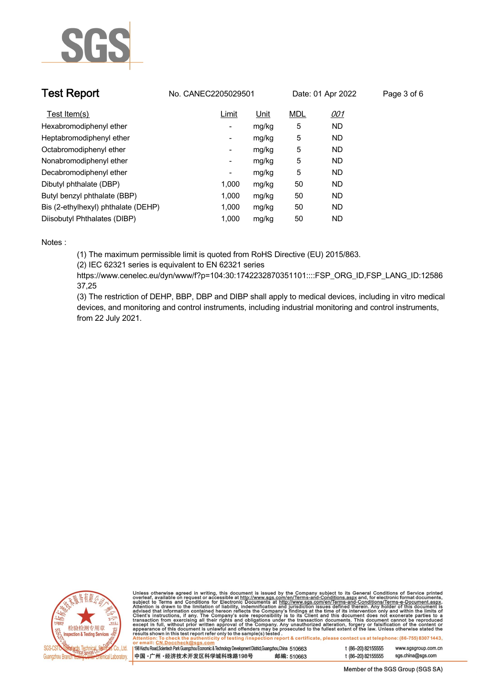

| <b>Test Report</b>                  | No. CANEC2205029501      |       |            | Date: 01 Apr 2022 | Page 3 of 6 |
|-------------------------------------|--------------------------|-------|------------|-------------------|-------------|
| Test Item(s)                        | Limit                    | Unit  | <b>MDL</b> | <u>001</u>        |             |
| Hexabromodiphenyl ether             | ۰.                       | mg/kg | 5          | <b>ND</b>         |             |
| Heptabromodiphenyl ether            | ٠                        | mg/kg | 5          | <b>ND</b>         |             |
| Octabromodiphenyl ether             | Ξ.                       | mg/kg | 5          | <b>ND</b>         |             |
| Nonabromodiphenyl ether             | Ξ.                       | mg/kg | 5          | <b>ND</b>         |             |
| Decabromodiphenyl ether             | $\overline{\phantom{a}}$ | mg/kg | 5          | <b>ND</b>         |             |
| Dibutyl phthalate (DBP)             | 1.000                    | mg/kg | 50         | <b>ND</b>         |             |
| Butyl benzyl phthalate (BBP)        | 1.000                    | mg/kg | 50         | <b>ND</b>         |             |
| Bis (2-ethylhexyl) phthalate (DEHP) | 1.000                    | mg/kg | 50         | <b>ND</b>         |             |
| Diisobutyl Phthalates (DIBP)        | 1.000                    | mg/kg | 50         | ND                |             |

### **Notes :.**

**(1) The maximum permissible limit is quoted from RoHS Directive (EU) 2015/863.**

**(2) IEC 62321 series is equivalent to EN 62321 series**

**https://www.cenelec.eu/dyn/www/f?p=104:30:1742232870351101::::FSP\_ORG\_ID,FSP\_LANG\_ID:12586 37,25**

**(3) The restriction of DEHP, BBP, DBP and DIBP shall apply to medical devices, including in vitro medical devices, and monitoring and control instruments, including industrial monitoring and control instruments, from 22 July 2021..**



Unless otherwise agreed in writing, this document is issued by the Company subject to its General Conditions of Service printed<br>overleaf, available on request or accessible at http://www.sgs.com/en/Terms-and-Conditions.as

| 198 Kezhu Road,Scientech Park Guangzhou Economic & Technology Development District,Guangzhou,China 510663 |            |
|-----------------------------------------------------------------------------------------------------------|------------|
| 中国 •广州 •经济技术开发区科学城科珠路198号                                                                                 | 邮编: 510663 |

www.sgsgroup.com.cn

t (86-20) 82155555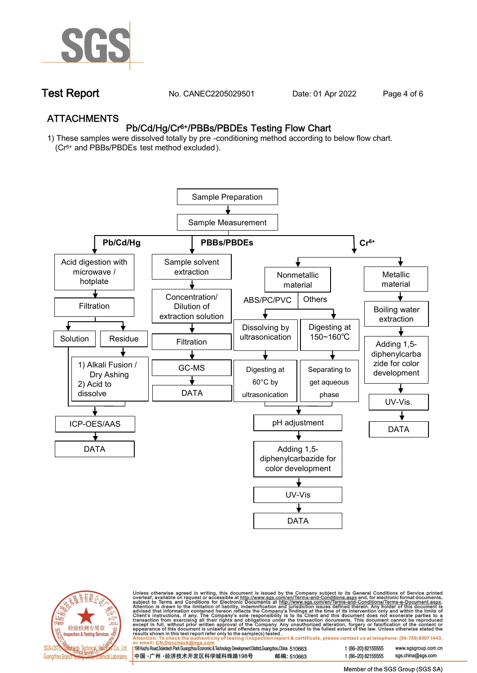

**Test Report. No. CANEC2205029501 . Date: 01 Apr 2022. Page 4 of 6.**

## **ATTACHMENTS Pb/Cd/Hg/Cr6+/PBBs/PBDEs Testing Flow Chart**

**1) These samples were dissolved totally by pre -conditioning method according to below flow chart. (Cr6+ and PBBs/PBDEs test method excluded ).**





Unless otherwise agreed in writing, this document is issued by the Company subject to its General Conditions of Service printed<br>overleaf, available on request or accessible at <u>http://www.sgs.com/en/Terms-and-Conditions.a</u>

| 198 Kezhu Road,Scientech Park Guangzhou Economic & Technology Development District,Guangzhou,China   510663 |            |
|-------------------------------------------------------------------------------------------------------------|------------|
| 中国 •广州 •经济技术开发区科学城科珠路198号 ;                                                                                 | 邮编: 510663 |

t (86-20) 82155555 t (86-20) 82155555 sas.china@sas.com

www.sgsgroup.com.cn

Member of the SGS Group (SGS SA)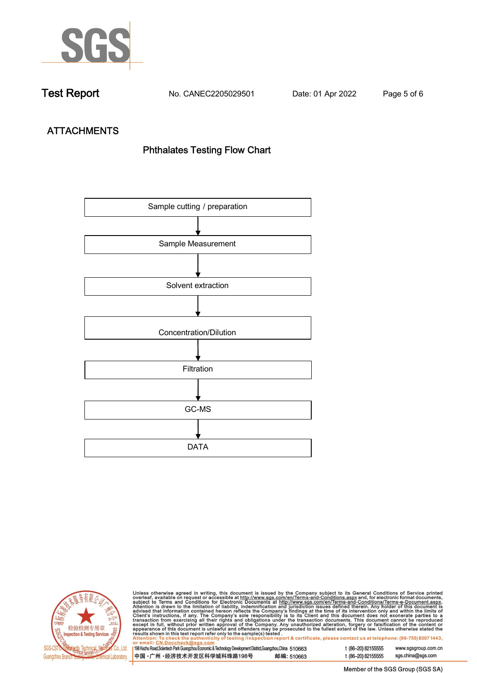

**Test Report. No. CANEC2205029501 . Date: 01 Apr 2022. Page 5 of 6.**

# **ATTACHMENTS Phthalates Testing Flow Chart**





Unless otherwise agreed in writing, this document is issued by the Company subject to its General Conditions of Service printed<br>overleaf, available on request or accessible at http://www.sgs.com/en/Terms-and-Conditions.as

| <u>UI CIIIAII. CN.DUCCIICCRIWSUS.COIII</u>                                                                |            |
|-----------------------------------------------------------------------------------------------------------|------------|
| 198 Kezhu Road,Scientech Park Guangzhou Economic & Technology Development District,Guangzhou,China 510663 |            |
|                                                                                                           |            |
| 中国 •广州 •经济技术开发区科学城科珠路198号                                                                                 | 邮编: 510663 |
|                                                                                                           |            |

t (86-20) 82155555 www.sgsgroup.com.cn t (86-20) 82155555 sgs.china@sgs.com

Member of the SGS Group (SGS SA)